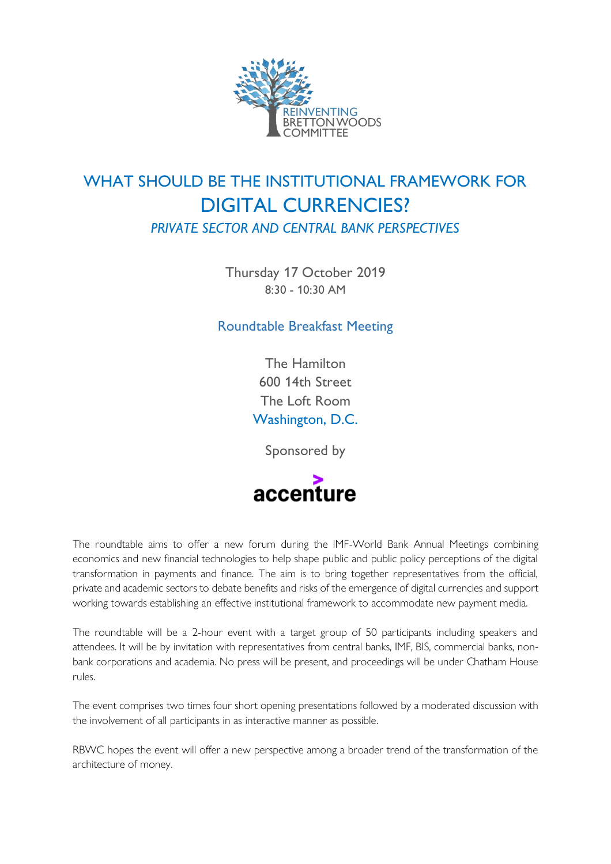

# WHAT SHOULD BE THE INSTITUTIONAL FRAMEWORK FOR DIGITAL CURRENCIES? *PRIVATE SECTOR AND CENTRAL BANK PERSPECTIVES*

Thursday 17 October 2019 8:30 - 10:30 AM

Roundtable Breakfast Meeting

The Hamilton 600 14th Street The Loft Room Washington, D.C.

Sponsored by



The roundtable aims to offer a new forum during the IMF-World Bank Annual Meetings combining economics and new financial technologies to help shape public and public policy perceptions of the digital transformation in payments and finance. The aim is to bring together representatives from the official, private and academic sectors to debate benefits and risks of the emergence of digital currencies and support working towards establishing an effective institutional framework to accommodate new payment media.

The roundtable will be a 2-hour event with a target group of 50 participants including speakers and attendees. It will be by invitation with representatives from central banks, IMF, BIS, commercial banks, nonbank corporations and academia. No press will be present, and proceedings will be under Chatham House rules.

The event comprises two times four short opening presentations followed by a moderated discussion with the involvement of all participants in as interactive manner as possible.

RBWC hopes the event will offer a new perspective among a broader trend of the transformation of the architecture of money.